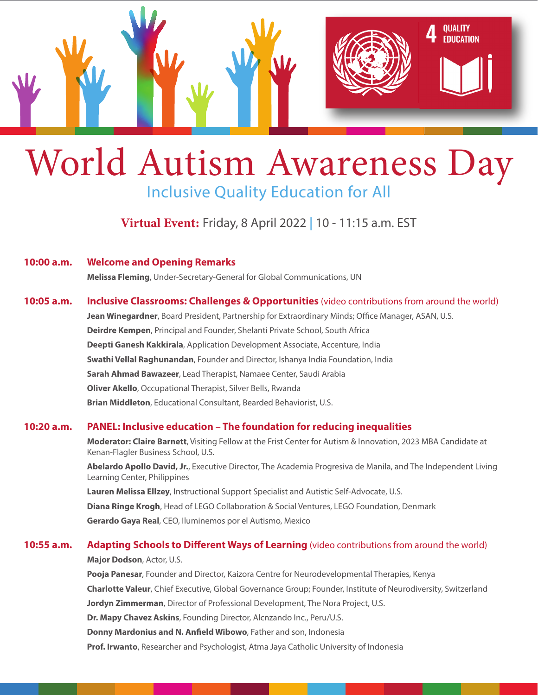

# World Autism Awareness Day Inclusive Quality Education for All

[Virtual Event:](https://teamup.com/ksf6ikyw6jst7sqii1/events/1131485110) Friday, 8 April 2022 | 10 - 11:15 a.m. EST

**10:00 a.m. Welcome and Opening Remarks**

**Melissa Fleming**, Under-Secretary-General for Global Communications, UN

# **10:05 a.m. Inclusive Classrooms: Challenges & Opportunities** (video contributions from around the world)

**Jean Winegardner**, Board President, Partnership for Extraordinary Minds; Office Manager, ASAN, U.S. **Deirdre Kempen**, Principal and Founder, Shelanti Private School, South Africa **Deepti Ganesh Kakkirala**, Application Development Associate, Accenture, India **Swathi Vellal Raghunandan**, Founder and Director, Ishanya India Foundation, India **Sarah Ahmad Bawazeer**, Lead Therapist, Namaee Center, Saudi Arabia **Oliver Akello**, Occupational Therapist, Silver Bells, Rwanda **Brian Middleton**, Educational Consultant, Bearded Behaviorist, U.S.

## **10:20 a.m. PANEL: Inclusive education – The foundation for reducing inequalities**

**Moderator: Claire Barnett**, Visiting Fellow at the Frist Center for Autism & Innovation, 2023 MBA Candidate at Kenan-Flagler Business School, U.S.

**Abelardo Apollo David, Jr.**, Executive Director, The Academia Progresiva de Manila, and The Independent Living Learning Center, Philippines

**Lauren Melissa Ellzey**, Instructional Support Specialist and Autistic Self-Advocate, U.S.

**Diana Ringe Krogh**, Head of LEGO Collaboration & Social Ventures, LEGO Foundation, Denmark

**Gerardo Gaya Real**, CEO, Iluminemos por el Autismo, Mexico

#### **10:55 a.m. Adapting Schools to Different Ways of Learning** (video contributions from around the world)

**Major Dodson**, Actor, U.S.

**Pooja Panesar**, Founder and Director, Kaizora Centre for Neurodevelopmental Therapies, Kenya **Charlotte Valeur**, Chief Executive, Global Governance Group; Founder, Institute of Neurodiversity, Switzerland **Jordyn Zimmerman**, Director of Professional Development, The Nora Project, U.S. **Dr. Mapy Chavez Askins**, Founding Director, Alcnzando Inc., Peru/U.S. **Donny Mardonius and N. Anfield Wibowo**, Father and son, Indonesia **Prof. Irwanto**, Researcher and Psychologist, Atma Jaya Catholic University of Indonesia